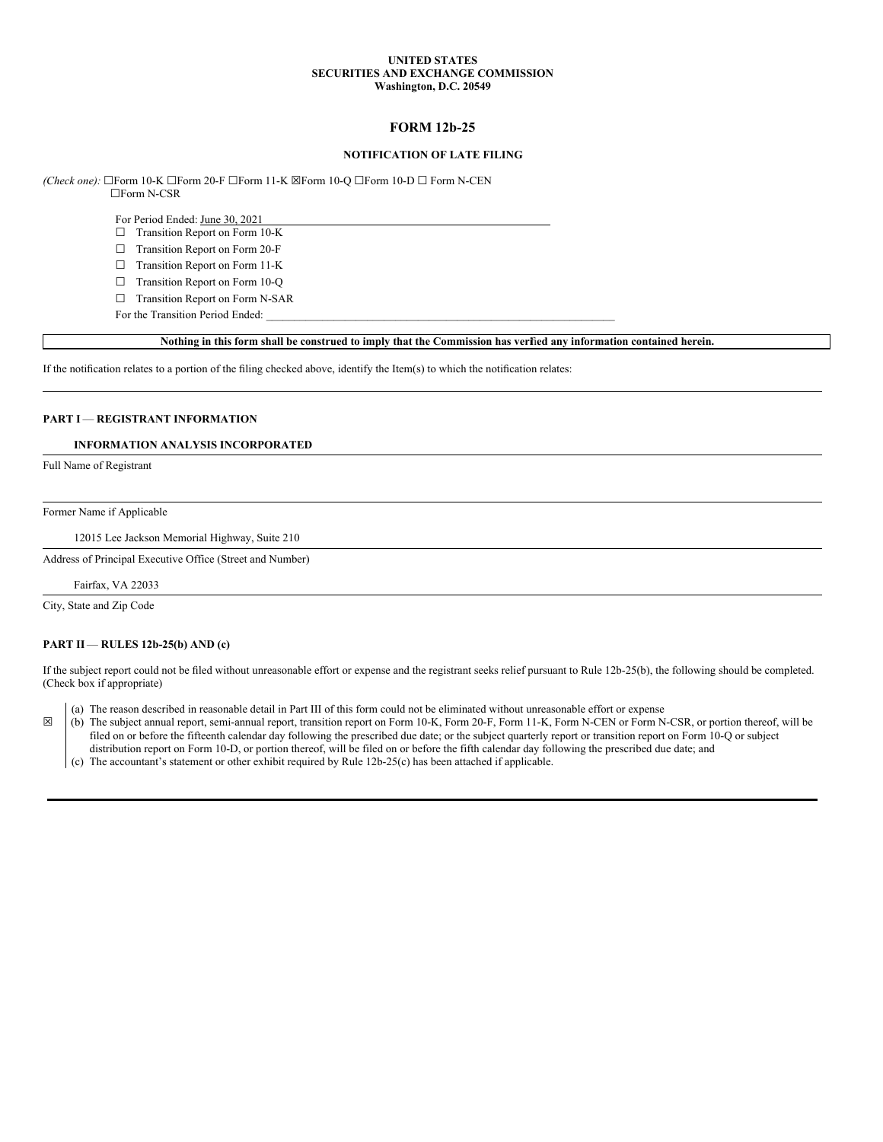#### **UNITED STATES SECURITIES AND EXCHANGE COMMISSION Washington, D.C. 20549**

# **FORM 12b-25**

#### **NOTIFICATION OF LATE FILING**

*(Check one):* ☐Form 10-K ☐Form 20-F ☐Form 11-K ☒Form 10-Q ☐Form 10-D ☐ Form N-CEN ☐Form N-CSR

For Period Ended: June 30, 2021

☐ Transition Report on Form 10-K

☐ Transition Report on Form 20-F

☐ Transition Report on Form 11-K

☐ Transition Report on Form 10-Q

☐ Transition Report on Form N-SAR For the Transition Period Ended:

Nothing in this form shall be construed to imply that the Commission has verfied any information contained herein.

If the notification relates to a portion of the filing checked above, identify the Item(s) to which the notification relates:

## **PART I** — **REGISTRANT INFORMATION**

## **INFORMATION ANALYSIS INCORPORATED**

Full Name of Registrant

#### Former Name if Applicable

12015 Lee Jackson Memorial Highway, Suite 210

Address of Principal Executive Office (Street and Number)

Fairfax, VA 22033

City, State and Zip Code

#### **PART II** — **RULES 12b-25(b) AND (c)**

If the subject report could not be filed without unreasonable effort or expense and the registrant seeks relief pursuant to Rule 12b-25(b), the following should be completed. (Check box if appropriate)

(a) The reason described in reasonable detail in Part III of this form could not be eliminated without unreasonable effort or expense

☒ (b) The subject annual report, semi-annual report, transition report on Form 10-K, Form 20-F, Form 11-K, Form N-CEN or Form N-CSR, or portion thereof, will be filed on or before the fifteenth calendar day following the prescribed due date; or the subject quarterly report or transition report on Form 10-Q or subject

distribution report on Form 10-D, or portion thereof, will be filed on or before the fifth calendar day following the prescribed due date; and (c) The accountant's statement or other exhibit required by Rule 12b-25(c) has been attached if applicable.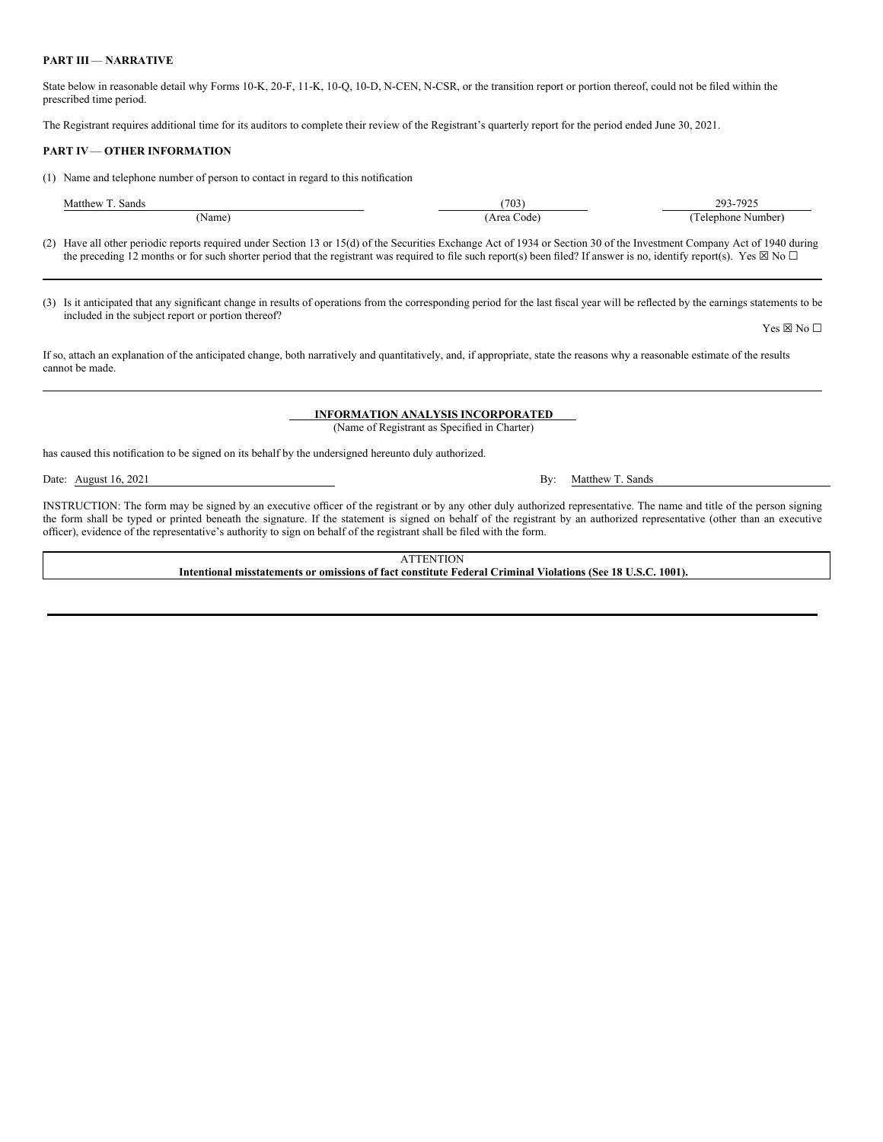#### **PART III** — **NARRATIVE**

State below in reasonable detail why Forms 10-K, 20-F, 11-K, 10-Q, 10-D, N-CEN, N-CSR, or the transition report or portion thereof, could not be filed within the prescribed time period.

The Registrant requires additional time for its auditors to complete their review of the Registrant's quarterly report for the period ended June 30, 2021.

#### **PART IV**— **OTHER INFORMATION**

(1) Name and telephone number of person to contact in regard to this notification

| (703)<br>Matthew<br>Sands |            | 293-7925                        |
|---------------------------|------------|---------------------------------|
| (Name)                    | Area Code) | $\sim$<br>Number)<br>l elephone |

(2) Have all other periodic reports required under Section 13 or 15(d) of the Securities Exchange Act of 1934 or Section 30 of the Investment Company Act of 1940 during the preceding 12 months or for such shorter period that the registrant was required to file such report(s) been filed? If answer is no, identify report(s). Yes  $\boxtimes$  No  $\Box$ 

(3) Is it anticipated that any significant change in results of operations from the corresponding period for the last fiscal year will be reflected by the earnings statements to be included in the subject report or portion thereof?

If so, attach an explanation of the anticipated change, both narratively and quantitatively, and, if appropriate, state the reasons why a reasonable estimate of the results cannot be made.

### **INFORMATION ANALYSIS INCORPORATED**

(Name of Registrant as Specified in Charter)

has caused this notification to be signed on its behalf by the undersigned hereunto duly authorized.

Date: August 16, 2021 By: Matthew T. Sands

INSTRUCTION: The form may be signed by an executive officer of the registrant or by any other duly authorized representative. The name and title of the person signing the form shall be typed or printed beneath the signature. If the statement is signed on behalf of the registrant by an authorized representative (other than an executive officer), evidence of the representative's authority to sign on behalf of the registrant shall be filed with the form.

> **ATTENTION Intentional misstatements or omissions of fact constitute Federal Criminal Violations (See 18 U.S.C. 1001).**

Yes  $\boxtimes$  No  $\square$